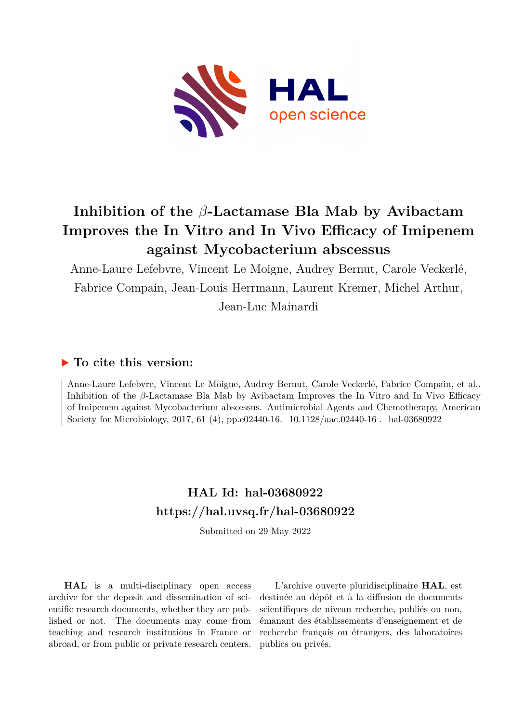

# **Inhibition of the** *β***-Lactamase Bla Mab by Avibactam Improves the In Vitro and In Vivo Efficacy of Imipenem against Mycobacterium abscessus**

Anne-Laure Lefebvre, Vincent Le Moigne, Audrey Bernut, Carole Veckerlé, Fabrice Compain, Jean-Louis Herrmann, Laurent Kremer, Michel Arthur, Jean-Luc Mainardi

### **To cite this version:**

Anne-Laure Lefebvre, Vincent Le Moigne, Audrey Bernut, Carole Veckerlé, Fabrice Compain, et al.. Inhibition of the *β*-Lactamase Bla Mab by Avibactam Improves the In Vitro and In Vivo Efficacy of Imipenem against Mycobacterium abscessus. Antimicrobial Agents and Chemotherapy, American Society for Microbiology, 2017, 61 (4), pp.e02440-16.  $10.1128/aac.02440-16$ . hal-03680922

## **HAL Id: hal-03680922 <https://hal.uvsq.fr/hal-03680922>**

Submitted on 29 May 2022

**HAL** is a multi-disciplinary open access archive for the deposit and dissemination of scientific research documents, whether they are published or not. The documents may come from teaching and research institutions in France or abroad, or from public or private research centers.

L'archive ouverte pluridisciplinaire **HAL**, est destinée au dépôt et à la diffusion de documents scientifiques de niveau recherche, publiés ou non, émanant des établissements d'enseignement et de recherche français ou étrangers, des laboratoires publics ou privés.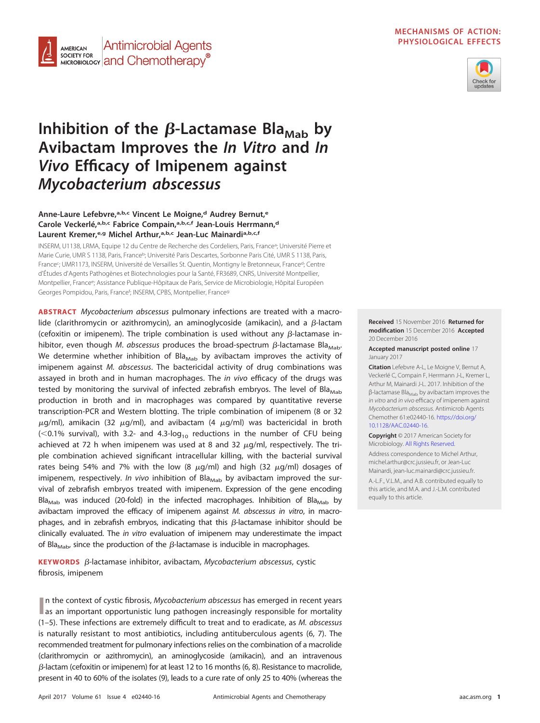

#### **MECHANISMS OF ACTION: PHYSIOLOGICAL EFFECTS**



# Inhibition of the  $\beta$ -Lactamase Bla<sub>Mab</sub> by **Avibactam Improves the In Vitro and In Vivo Efficacy of Imipenem against Mycobacterium abscessus**

### **Anne-Laure Lefebvre,a,b,c Vincent Le Moigne,d Audrey Bernut,e Carole Veckerlé,a,b,c Fabrice Compain,a,b,c,f Jean-Louis Herrmann,d Laurent Kremer,e,g Michel Arthur,a,b,c Jean-Luc Mainardia,b,c,f**

INSERM, U1138, LRMA, Equipe 12 du Centre de Recherche des Cordeliers, Paris, France<sup>a</sup>; Université Pierre et Marie Curie, UMR S 1138, Paris, Franceb; Université Paris Descartes, Sorbonne Paris Cité, UMR S 1138, Paris, France<sup>c</sup>; UMR1173, INSERM, Université de Versailles St. Quentin, Montigny le Bretonneux, France<sup>d</sup>; Centre d'Études d'Agents Pathogènes et Biotechnologies pour la Santé, FR3689, CNRS, Université Montpellier, Montpellier, Francee; Assistance Publique-Hôpitaux de Paris, Service de Microbiologie, Hôpital Européen Georges Pompidou, Paris, France<sup>f</sup>; INSERM, CPBS, Montpellier, France<sup>9</sup>

**ABSTRACT** Mycobacterium abscessus pulmonary infections are treated with a macrolide (clarithromycin or azithromycin), an aminoglycoside (amikacin), and a  $\beta$ -lactam (cefoxitin or imipenem). The triple combination is used without any  $\beta$ -lactamase inhibitor, even though *M. abscessus* produces the broad-spectrum  $\beta$ -lactamase Bla<sub>Mab</sub>. We determine whether inhibition of Bla<sub>Mab</sub> by avibactam improves the activity of imipenem against M. abscessus. The bactericidal activity of drug combinations was assayed in broth and in human macrophages. The *in vivo* efficacy of the drugs was tested by monitoring the survival of infected zebrafish embryos. The level of Bla $_{\text{Mab}}$ production in broth and in macrophages was compared by quantitative reverse transcription-PCR and Western blotting. The triple combination of imipenem (8 or 32  $\mu$ g/ml), amikacin (32  $\mu$ g/ml), and avibactam (4  $\mu$ g/ml) was bactericidal in broth  $\ll$  0.1% survival), with 3.2- and 4.3-log<sub>10</sub> reductions in the number of CFU being achieved at 72 h when imipenem was used at 8 and 32  $\mu$ g/ml, respectively. The triple combination achieved significant intracellular killing, with the bacterial survival rates being 54% and 7% with the low (8  $\mu$ g/ml) and high (32  $\mu$ g/ml) dosages of imipenem, respectively. In vivo inhibition of Bla<sub>Mab</sub> by avibactam improved the survival of zebrafish embryos treated with imipenem. Expression of the gene encoding Bla<sub>Mab</sub> was induced (20-fold) in the infected macrophages. Inhibition of Bla<sub>Mab</sub> by avibactam improved the efficacy of imipenem against M. abscessus in vitro, in macrophages, and in zebrafish embryos, indicating that this  $\beta$ -lactamase inhibitor should be clinically evaluated. The in vitro evaluation of imipenem may underestimate the impact of Bla<sub>Mab</sub>, since the production of the  $\beta$ -lactamase is inducible in macrophages.

**KEYWORDS** β-lactamase inhibitor, avibactam, Mycobacterium abscessus, cystic fibrosis, imipenem

**In the context of cystic fibrosis, Mycobacterium abscessus has emerged in recent years as an important opportunistic lung pathogen increasingly responsible for mortality** n the context of cystic fibrosis, Mycobacterium abscessus has emerged in recent years (1–5). These infections are extremely difficult to treat and to eradicate, as M. abscessus is naturally resistant to most antibiotics, including antituberculous agents (6, 7). The recommended treatment for pulmonary infections relies on the combination of a macrolide (clarithromycin or azithromycin), an aminoglycoside (amikacin), and an intravenous  $\beta$ -lactam (cefoxitin or imipenem) for at least 12 to 16 months (6, 8). Resistance to macrolide, present in 40 to 60% of the isolates (9), leads to a cure rate of only 25 to 40% (whereas the

**Received** 15 November 2016 **Returned for modification** 15 December 2016 **Accepted** 20 December 2016

**Accepted manuscript posted online** 17 January 2017

**Citation** Lefebvre A-L, Le Moigne V, Bernut A, Veckerlé C, Compain F, Herrmann J-L, Kremer L, Arthur M, Mainardi J-L. 2017. Inhibition of the β-lactamase Bla<sub>Mab</sub> by avibactam improves the in vitro and in vivo efficacy of imipenem against Mycobacterium abscessus. Antimicrob Agents Chemother 61:e02440-16. [https://doi.org/](https://doi.org/10.1128/AAC.02440-16) [10.1128/AAC.02440-16.](https://doi.org/10.1128/AAC.02440-16)

**Copyright** © 2017 American Society for Microbiology. [All Rights Reserved.](https://doi.org/10.1128/ASMCopyrightv1)

Address correspondence to Michel Arthur, [michel.arthur@crc.jussieu.fr,](mailto:michel.arthur@crc.jussieu.fr) or Jean-Luc Mainardi, [jean-luc.mainardi@crc.jussieu.fr.](mailto:jean-luc.mainardi@crc.jussieu.fr)

A.-L.F., V.L.M., and A.B. contributed equally to this article, and M.A. and J.-L.M. contributed equally to this article.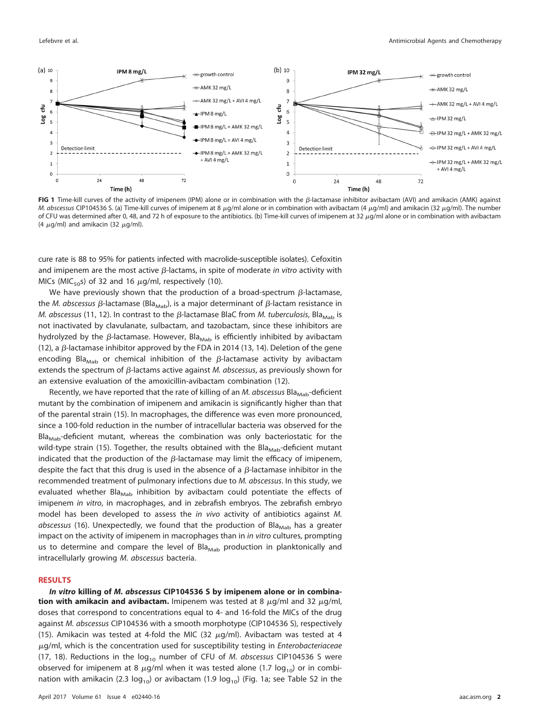

FIG 1 Time-kill curves of the activity of imipenem (IPM) alone or in combination with the B-lactamase inhibitor avibactam (AVI) and amikacin (AMK) against M. abscessus CIP104536 S. (a) Time-kill curves of imipenem at 8  $\mu$ g/ml alone or in combination with avibactam (4  $\mu$ g/ml) and amikacin (32  $\mu$ g/ml). The number of CFU was determined after 0, 48, and 72 h of exposure to the antibiotics. (b) Time-kill curves of imipenem at 32 µg/ml alone or in combination with avibactam (4  $\mu$ g/ml) and amikacin (32  $\mu$ g/ml).

cure rate is 88 to 95% for patients infected with macrolide-susceptible isolates). Cefoxitin and imipenem are the most active  $\beta$ -lactams, in spite of moderate in vitro activity with MICs (MIC<sub>50</sub>s) of 32 and 16  $\mu$ g/ml, respectively (10).

We have previously shown that the production of a broad-spectrum  $\beta$ -lactamase, the *M. abscessus β*-lactamase (Bla<sub>Mab</sub>), is a major determinant of  $\beta$ -lactam resistance in *M. abscessus* (11, 12). In contrast to the  $\beta$ -lactamase BlaC from *M. tuberculosis,* Bla<sub>mab</sub> is not inactivated by clavulanate, sulbactam, and tazobactam, since these inhibitors are hydrolyzed by the  $\beta$ -lactamase. However, Bla<sub>mab</sub> is efficiently inhibited by avibactam (12), a  $\beta$ -lactamase inhibitor approved by the FDA in 2014 (13, 14). Deletion of the gene encoding Bla<sub>Mab</sub> or chemical inhibition of the  $\beta$ -lactamase activity by avibactam extends the spectrum of  $\beta$ -lactams active against M. abscessus, as previously shown for an extensive evaluation of the amoxicillin-avibactam combination (12).

Recently, we have reported that the rate of killing of an M. abscessus Bla<sub>Mab</sub>-deficient mutant by the combination of imipenem and amikacin is significantly higher than that of the parental strain (15). In macrophages, the difference was even more pronounced, since a 100-fold reduction in the number of intracellular bacteria was observed for the  $Bl_{Mab}$ -deficient mutant, whereas the combination was only bacteriostatic for the wild-type strain (15). Together, the results obtained with the Bla<sub>Mab</sub>-deficient mutant indicated that the production of the  $\beta$ -lactamase may limit the efficacy of imipenem, despite the fact that this drug is used in the absence of a  $\beta$ -lactamase inhibitor in the recommended treatment of pulmonary infections due to M. abscessus. In this study, we evaluated whether Bla<sub>Mab</sub> inhibition by avibactam could potentiate the effects of imipenem in vitro, in macrophages, and in zebrafish embryos. The zebrafish embryo model has been developed to assess the in vivo activity of antibiotics against M.  $abscessus$  (16). Unexpectedly, we found that the production of Bla<sub>Mab</sub> has a greater impact on the activity of imipenem in macrophages than in *in vitro* cultures, prompting us to determine and compare the level of Bla<sub>Mab</sub> production in planktonically and intracellularly growing M. abscessus bacteria.

#### **RESULTS**

*In vitro* **killing of** *M. abscessus* **CIP104536 S by imipenem alone or in combination with amikacin and avibactam.** Imipenem was tested at 8  $\mu$ g/ml and 32  $\mu$ g/ml, doses that correspond to concentrations equal to 4- and 16-fold the MICs of the drug against M. abscessus CIP104536 with a smooth morphotype (CIP104536 S), respectively (15). Amikacin was tested at 4-fold the MIC (32  $\mu$ g/ml). Avibactam was tested at 4  $\mu$ g/ml, which is the concentration used for susceptibility testing in *Enterobacteriaceae* (17, 18). Reductions in the  $log<sub>10</sub>$  number of CFU of *M. abscessus* CIP104536 S were observed for imipenem at 8  $\mu$ g/ml when it was tested alone (1.7 log<sub>10</sub>) or in combination with amikacin (2.3  $log_{10}$ ) or avibactam (1.9  $log_{10}$ ) (Fig. 1a; see Table S2 in the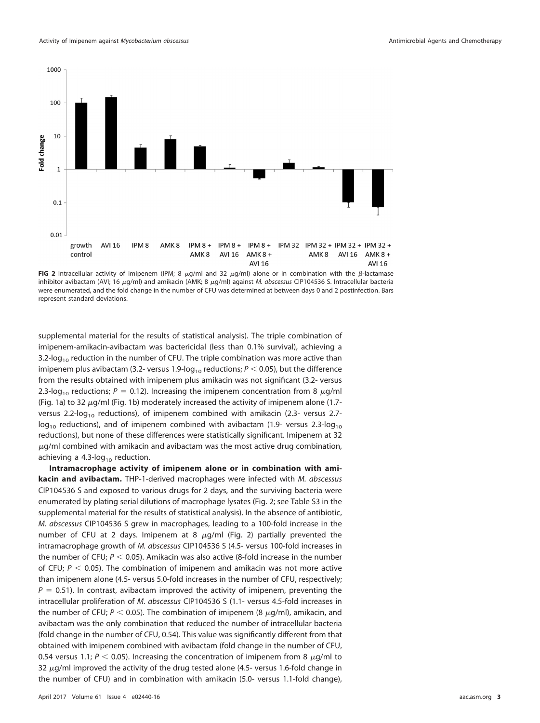

**FIG 2** Intracellular activity of imipenem (IPM; 8  $\mu$ g/ml and 32  $\mu$ g/ml) alone or in combination with the  $\beta$ -lactamase inhibitor avibactam (AVI; 16  $\mu$ g/ml) and amikacin (AMK; 8  $\mu$ g/ml) against M. abscessus CIP104536 S. Intracellular bacteria were enumerated, and the fold change in the number of CFU was determined at between days 0 and 2 postinfection. Bars represent standard deviations.

supplemental material for the results of statistical analysis). The triple combination of imipenem-amikacin-avibactam was bactericidal (less than 0.1% survival), achieving a 3.2-log<sub>10</sub> reduction in the number of CFU. The triple combination was more active than imipenem plus avibactam (3.2- versus 1.9-log $_{\rm 10}$  reductions;  $\mathit{P}$   $<$  0.05), but the difference from the results obtained with imipenem plus amikacin was not significant (3.2- versus 2.3-log<sub>10</sub> reductions; P = 0.12). Increasing the imipenem concentration from 8  $\mu$ g/ml (Fig. 1a) to 32  $\mu$ g/ml (Fig. 1b) moderately increased the activity of imipenem alone (1.7versus 2.2-log<sub>10</sub> reductions), of imipenem combined with amikacin (2.3- versus 2.7 $log<sub>10</sub>$  reductions), and of imipenem combined with avibactam (1.9- versus 2.3-log<sub>10</sub>) reductions), but none of these differences were statistically significant. Imipenem at 32  $\mu$ g/ml combined with amikacin and avibactam was the most active drug combination, achieving a 4.3-log<sub>10</sub> reduction.

**Intramacrophage activity of imipenem alone or in combination with amikacin and avibactam.** THP-1-derived macrophages were infected with M. abscessus CIP104536 S and exposed to various drugs for 2 days, and the surviving bacteria were enumerated by plating serial dilutions of macrophage lysates (Fig. 2; see Table S3 in the supplemental material for the results of statistical analysis). In the absence of antibiotic, M. abscessus CIP104536 S grew in macrophages, leading to a 100-fold increase in the number of CFU at 2 days. Imipenem at 8  $\mu$ g/ml (Fig. 2) partially prevented the intramacrophage growth of M. abscessus CIP104536 S (4.5- versus 100-fold increases in the number of CFU;  $P < 0.05$ ). Amikacin was also active (8-fold increase in the number of CFU;  $P < 0.05$ ). The combination of imipenem and amikacin was not more active than imipenem alone (4.5- versus 5.0-fold increases in the number of CFU, respectively;  $P = 0.51$ ). In contrast, avibactam improved the activity of imipenem, preventing the intracellular proliferation of M. abscessus CIP104536 S (1.1- versus 4.5-fold increases in the number of CFU;  $P < 0.05$ ). The combination of imipenem (8  $\mu$ g/ml), amikacin, and avibactam was the only combination that reduced the number of intracellular bacteria (fold change in the number of CFU, 0.54). This value was significantly different from that obtained with imipenem combined with avibactam (fold change in the number of CFU, 0.54 versus 1.1;  $P < 0.05$ ). Increasing the concentration of imipenem from 8  $\mu$ g/ml to 32  $\mu$ g/ml improved the activity of the drug tested alone (4.5- versus 1.6-fold change in the number of CFU) and in combination with amikacin (5.0- versus 1.1-fold change),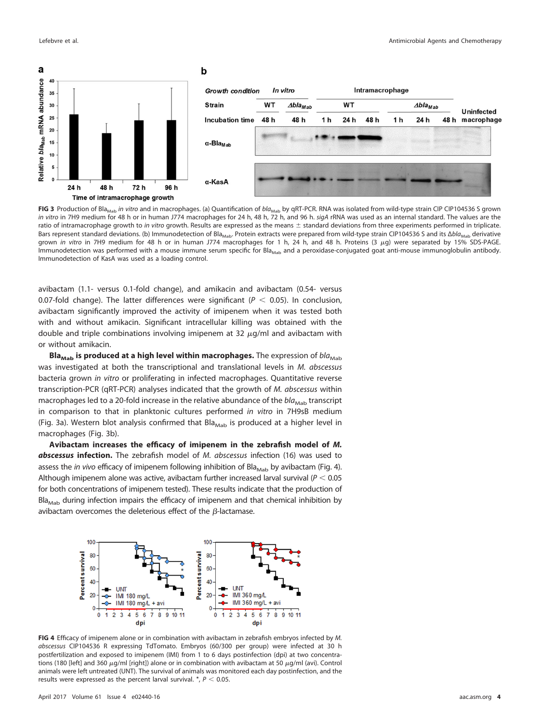

FIG 3 Production of Bla<sub>Mab</sub> in vitro and in macrophages. (a) Quantification of bla<sub>Mab</sub> by qRT-PCR. RNA was isolated from wild-type strain CIP CIP104536 S grown in vitro in 7H9 medium for 48 h or in human J774 macrophages for 24 h, 48 h, 72 h, and 96 h. sigA rRNA was used as an internal standard. The values are the ratio of intramacrophage growth to in vitro growth. Results are expressed as the means  $\pm$  standard deviations from three experiments performed in triplicate. Bars represent standard deviations. (b) Immunodetection of Bla<sub>Mab</sub>. Protein extracts were prepared from wild-type strain CIP104536 S and its  $\Delta bla_{\text{Mah}}$  derivative grown in vitro in 7H9 medium for 48 h or in human J774 macrophages for 1 h, 24 h, and 48 h. Proteins (3 µg) were separated by 15% SDS-PAGE. Immunodetection was performed with a mouse immune serum specific for Bla<sub>Mab</sub> and a peroxidase-conjugated goat anti-mouse immunoglobulin antibody. Immunodetection of KasA was used as a loading control.

avibactam (1.1- versus 0.1-fold change), and amikacin and avibactam (0.54- versus 0.07-fold change). The latter differences were significant ( $P < 0.05$ ). In conclusion, avibactam significantly improved the activity of imipenem when it was tested both with and without amikacin. Significant intracellular killing was obtained with the double and triple combinations involving imipenem at 32  $\mu$ g/ml and avibactam with or without amikacin.

**Bla<sub>Mab</sub>** is produced at a high level within macrophages. The expression of  $bla_{\text{Mab}}$ was investigated at both the transcriptional and translational levels in M. abscessus bacteria grown in vitro or proliferating in infected macrophages. Quantitative reverse transcription-PCR (qRT-PCR) analyses indicated that the growth of M. abscessus within macrophages led to a 20-fold increase in the relative abundance of the  $bla_{\text{Mab}}$  transcript in comparison to that in planktonic cultures performed in vitro in 7H9sB medium (Fig. 3a). Western blot analysis confirmed that  $Bl_{Mab}$  is produced at a higher level in macrophages (Fig. 3b).

**Avibactam increases the efficacy of imipenem in the zebrafish model of** *M. abscessus* **infection.** The zebrafish model of M. abscessus infection (16) was used to assess the *in vivo* efficacy of imipenem following inhibition of Bla<sub>Mab</sub> by avibactam (Fig. 4). Although imipenem alone was active, avibactam further increased larval survival ( $P < 0.05$ for both concentrations of imipenem tested). These results indicate that the production of  $Bl_{Mab}$  during infection impairs the efficacy of imipenem and that chemical inhibition by avibactam overcomes the deleterious effect of the  $\beta$ -lactamase.



**FIG 4** Efficacy of imipenem alone or in combination with avibactam in zebrafish embryos infected by M. abscessus CIP104536 R expressing TdTomato. Embryos (60/300 per group) were infected at 30 h postfertilization and exposed to imipenem (IMI) from 1 to 6 days postinfection (dpi) at two concentrations (180 [left] and 360  $\mu$ g/ml [right]) alone or in combination with avibactam at 50  $\mu$ g/ml (avi). Control animals were left untreated (UNT). The survival of animals was monitored each day postinfection, and the results were expressed as the percent larval survival.  $*$ ,  $P < 0.05$ .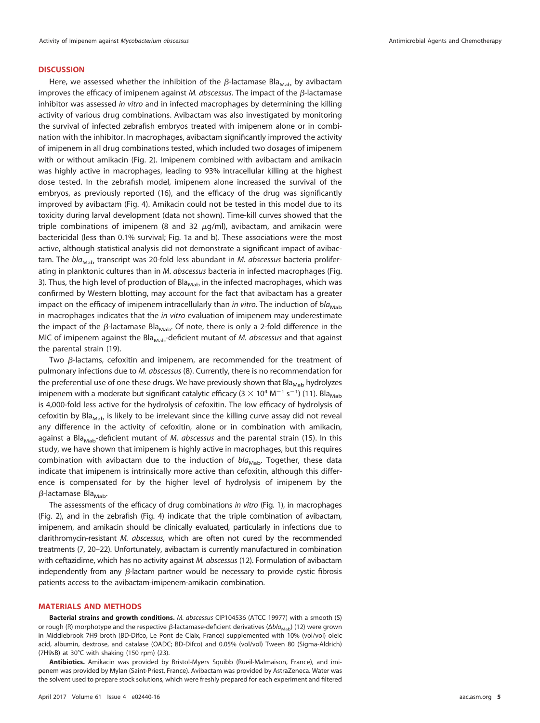#### **DISCUSSION**

Here, we assessed whether the inhibition of the  $\beta$ -lactamase Bla $_{\text{Mab}}$  by avibactam improves the efficacy of imipenem against M. abscessus. The impact of the  $\beta$ -lactamase inhibitor was assessed in vitro and in infected macrophages by determining the killing activity of various drug combinations. Avibactam was also investigated by monitoring the survival of infected zebrafish embryos treated with imipenem alone or in combination with the inhibitor. In macrophages, avibactam significantly improved the activity of imipenem in all drug combinations tested, which included two dosages of imipenem with or without amikacin (Fig. 2). Imipenem combined with avibactam and amikacin was highly active in macrophages, leading to 93% intracellular killing at the highest dose tested. In the zebrafish model, imipenem alone increased the survival of the embryos, as previously reported (16), and the efficacy of the drug was significantly improved by avibactam (Fig. 4). Amikacin could not be tested in this model due to its toxicity during larval development (data not shown). Time-kill curves showed that the triple combinations of imipenem (8 and 32  $\mu$ g/ml), avibactam, and amikacin were bactericidal (less than 0.1% survival; Fig. 1a and b). These associations were the most active, although statistical analysis did not demonstrate a significant impact of avibactam. The  $bla_{Mah}$  transcript was 20-fold less abundant in *M. abscessus* bacteria proliferating in planktonic cultures than in M. abscessus bacteria in infected macrophages (Fig. 3). Thus, the high level of production of Bla<sub>Mab</sub> in the infected macrophages, which was confirmed by Western blotting, may account for the fact that avibactam has a greater impact on the efficacy of imipenem intracellularly than in vitro. The induction of  $bla_{Mab}$ in macrophages indicates that the in vitro evaluation of imipenem may underestimate the impact of the  $\beta$ -lactamase Bla $_{\text{Mab}}$ . Of note, there is only a 2-fold difference in the MIC of imipenem against the Bla<sub>Mab</sub>-deficient mutant of *M. abscessus* and that against the parental strain (19).

Two  $\beta$ -lactams, cefoxitin and imipenem, are recommended for the treatment of pulmonary infections due to M. abscessus (8). Currently, there is no recommendation for the preferential use of one these drugs. We have previously shown that Bla<sub>Mab</sub> hydrolyzes imipenem with a moderate but significant catalytic efficacy ( $3 \times 10^4$  M<sup>-1</sup> s<sup>-1</sup>) (11). Bla<sub>Mab</sub> is 4,000-fold less active for the hydrolysis of cefoxitin. The low efficacy of hydrolysis of cefoxitin by Bla<sub>Mab</sub> is likely to be irrelevant since the killing curve assay did not reveal any difference in the activity of cefoxitin, alone or in combination with amikacin, against a Bla<sub>Mab</sub>-deficient mutant of *M. abscessus* and the parental strain (15). In this study, we have shown that imipenem is highly active in macrophages, but this requires combination with avibactam due to the induction of  $bla_{\text{Mab}}$ . Together, these data indicate that imipenem is intrinsically more active than cefoxitin, although this difference is compensated for by the higher level of hydrolysis of imipenem by the β-lactamase Bla<sub>Mab</sub>.

The assessments of the efficacy of drug combinations in vitro (Fig. 1), in macrophages (Fig. 2), and in the zebrafish (Fig. 4) indicate that the triple combination of avibactam, imipenem, and amikacin should be clinically evaluated, particularly in infections due to clarithromycin-resistant M. abscessus, which are often not cured by the recommended treatments (7, 20–22). Unfortunately, avibactam is currently manufactured in combination with ceftazidime, which has no activity against M. abscessus (12). Formulation of avibactam independently from any  $\beta$ -lactam partner would be necessary to provide cystic fibrosis patients access to the avibactam-imipenem-amikacin combination.

#### **MATERIALS AND METHODS**

**Bacterial strains and growth conditions.** M. abscessus CIP104536 (ATCC 19977) with a smooth (S) or rough (R) morphotype and the respective  $\beta$ -lactamase-deficient derivatives (Δbl $a_{\sf Mab}$ ) (12) were grown in Middlebrook 7H9 broth (BD-Difco, Le Pont de Claix, France) supplemented with 10% (vol/vol) oleic acid, albumin, dextrose, and catalase (OADC; BD-Difco) and 0.05% (vol/vol) Tween 80 (Sigma-Aldrich) (7H9sB) at 30°C with shaking (150 rpm) (23).

**Antibiotics.** Amikacin was provided by Bristol-Myers Squibb (Rueil-Malmaison, France), and imipenem was provided by Mylan (Saint-Priest, France). Avibactam was provided by AstraZeneca. Water was the solvent used to prepare stock solutions, which were freshly prepared for each experiment and filtered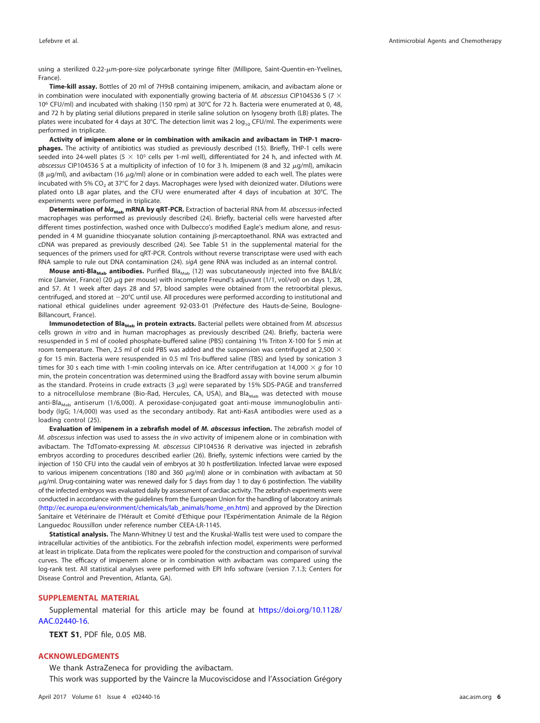using a sterilized 0.22- $\mu$ m-pore-size polycarbonate syringe filter (Millipore, Saint-Quentin-en-Yvelines, France).

**Time-kill assay.** Bottles of 20 ml of 7H9sB containing imipenem, amikacin, and avibactam alone or in combination were inoculated with exponentially growing bacteria of M. abscessus CIP104536 S (7  $\times$ 106 CFU/ml) and incubated with shaking (150 rpm) at 30°C for 72 h. Bacteria were enumerated at 0, 48, and 72 h by plating serial dilutions prepared in sterile saline solution on lysogeny broth (LB) plates. The plates were incubated for 4 days at 30°C. The detection limit was 2  $log_{10}$  CFU/ml. The experiments were performed in triplicate.

**Activity of imipenem alone or in combination with amikacin and avibactam in THP-1 macrophages.** The activity of antibiotics was studied as previously described (15). Briefly, THP-1 cells were seeded into 24-well plates (5  $\times$  10<sup>5</sup> cells per 1-ml well), differentiated for 24 h, and infected with M. abscessus CIP104536 S at a multiplicity of infection of 10 for 3 h. Imipenem (8 and 32  $\mu$ g/ml), amikacin (8  $\mu$ g/ml), and avibactam (16  $\mu$ g/ml) alone or in combination were added to each well. The plates were incubated with 5% CO<sub>2</sub> at 37°C for 2 days. Macrophages were lysed with deionized water. Dilutions were plated onto LB agar plates, and the CFU were enumerated after 4 days of incubation at 30°C. The experiments were performed in triplicate.

**Determination of** *bla***<sub>Mab</sub> mRNA by qRT-PCR.** Extraction of bacterial RNA from *M. abscessus-*infected macrophages was performed as previously described (24). Briefly, bacterial cells were harvested after different times postinfection, washed once with Dulbecco's modified Eagle's medium alone, and resuspended in 4 M guanidine thiocyanate solution containing  $\beta$ -mercaptoethanol. RNA was extracted and cDNA was prepared as previously described (24). See Table S1 in the supplemental material for the sequences of the primers used for qRT-PCR. Controls without reverse transcriptase were used with each RNA sample to rule out DNA contamination (24). sigA gene RNA was included as an internal control.

**Mouse anti-Bla<sub>Mab</sub> antibodies.** Purified Bla<sub>Mab</sub> (12) was subcutaneously injected into five BALB/c mice (Janvier, France) (20  $\mu$ g per mouse) with incomplete Freund's adjuvant (1/1, vol/vol) on days 1, 28, and 57. At 1 week after days 28 and 57, blood samples were obtained from the retroorbital plexus, centrifuged, and stored at  $-20^{\circ}$ C until use. All procedures were performed according to institutional and national ethical guidelines under agreement 92-033-01 (Préfecture des Hauts-de-Seine, Boulogne-Billancourt, France).

Immunodetection of Bla<sub>Mab</sub> in protein extracts. Bacterial pellets were obtained from M. abscessus cells grown in vitro and in human macrophages as previously described (24). Briefly, bacteria were resuspended in 5 ml of cooled phosphate-buffered saline (PBS) containing 1% Triton X-100 for 5 min at room temperature. Then, 2.5 ml of cold PBS was added and the suspension was centrifuged at 2,500  $\times$ g for 15 min. Bacteria were resuspended in 0.5 ml Tris-buffered saline (TBS) and lysed by sonication 3 times for 30 s each time with 1-min cooling intervals on ice. After centrifugation at 14,000  $\times$  g for 10 min, the protein concentration was determined using the Bradford assay with bovine serum albumin as the standard. Proteins in crude extracts (3  $\mu$ g) were separated by 15% SDS-PAGE and transferred to a nitrocellulose membrane (Bio-Rad, Hercules, CA, USA), and Bla<sub>Mab</sub> was detected with mouse anti-Bla<sub>Mab</sub> antiserum (1/6,000). A peroxidase-conjugated goat anti-mouse immunoglobulin antibody (IgG; 1/4,000) was used as the secondary antibody. Rat anti-KasA antibodies were used as a loading control (25).

**Evaluation of imipenem in a zebrafish model of** *M. abscessus* **infection.** The zebrafish model of M. abscessus infection was used to assess the in vivo activity of imipenem alone or in combination with avibactam. The TdTomato-expressing M. abscessus CIP104536 R derivative was injected in zebrafish embryos according to procedures described earlier (26). Briefly, systemic infections were carried by the injection of 150 CFU into the caudal vein of embryos at 30 h postfertilization. Infected larvae were exposed to various imipenem concentrations (180 and 360  $\mu$ g/ml) alone or in combination with avibactam at 50  $\mu$ g/ml. Drug-containing water was renewed daily for 5 days from day 1 to day 6 postinfection. The viability of the infected embryos was evaluated daily by assessment of cardiac activity. The zebrafish experiments were conducted in accordance with the guidelines from the European Union for the handling of laboratory animals [\(http://ec.europa.eu/environment/chemicals/lab\\_animals/home\\_en.htm\)](http://ec.europa.eu/environment/chemicals/lab_animals/home_en.htm) and approved by the Direction Sanitaire et Vétérinaire de l'Hérault et Comité d'Ethique pour l'Expérimentation Animale de la Région Languedoc Roussillon under reference number CEEA-LR-1145.

**Statistical analysis.** The Mann-Whitney U test and the Kruskal-Wallis test were used to compare the intracellular activities of the antibiotics. For the zebrafish infection model, experiments were performed at least in triplicate. Data from the replicates were pooled for the construction and comparison of survival curves. The efficacy of imipenem alone or in combination with avibactam was compared using the log-rank test. All statistical analyses were performed with EPI Info software (version 7.1.3; Centers for Disease Control and Prevention, Atlanta, GA).

#### **SUPPLEMENTAL MATERIAL**

Supplemental material for this article may be found at [https://doi.org/10.1128/](https://doi.org/10.1128/AAC.02440-16) [AAC.02440-16.](https://doi.org/10.1128/AAC.02440-16)

**TEXT S1**, PDF file, 0.05 MB.

#### **ACKNOWLEDGMENTS**

We thank AstraZeneca for providing the avibactam. This work was supported by the Vaincre la Mucoviscidose and l'Association Grégory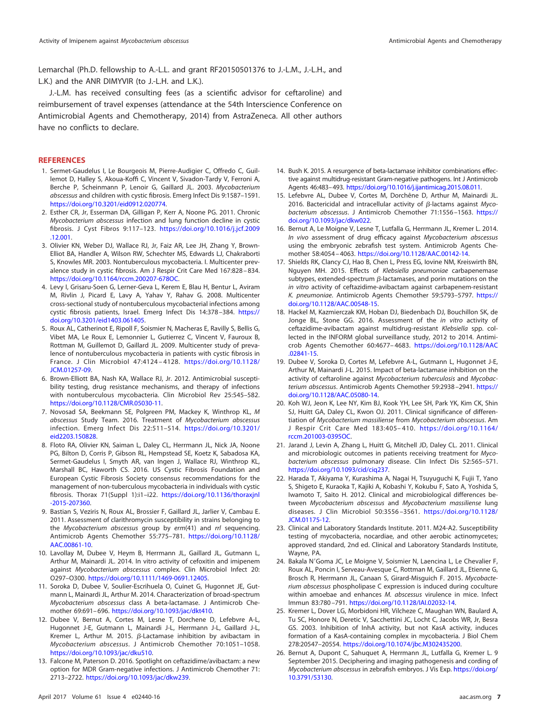Lemarchal (Ph.D. fellowship to A.-L.L. and grant RF20150501376 to J.-L.M., J.-L.H., and L.K.) and the ANR DIMYVIR (to J.-L.H. and L.K.).

J.-L.M. has received consulting fees (as a scientific advisor for ceftaroline) and reimbursement of travel expenses (attendance at the 54th Interscience Conference on Antimicrobial Agents and Chemotherapy, 2014) from AstraZeneca. All other authors have no conflicts to declare.

#### **REFERENCES**

- 1. Sermet-Gaudelus I, Le Bourgeois M, Pierre-Audigier C, Offredo C, Guillemot D, Halley S, Akoua-Koffi C, Vincent V, Sivadon-Tardy V, Ferroni A, Berche P, Scheinmann P, Lenoir G, Gaillard JL. 2003. Mycobacterium abscessus and children with cystic fibrosis. Emerg Infect Dis 9:1587–1591. [https://doi.org/10.3201/eid0912.020774.](https://doi.org/10.3201/eid0912.020774)
- 2. Esther CR, Jr, Esserman DA, Gilligan P, Kerr A, Noone PG. 2011. Chronic Mycobacterium abscessus infection and lung function decline in cystic fibrosis. J Cyst Fibros 9:117–123. [https://doi.org/10.1016/j.jcf.2009](https://doi.org/10.1016/j.jcf.2009.12.001) [.12.001.](https://doi.org/10.1016/j.jcf.2009.12.001)
- 3. Olivier KN, Weber DJ, Wallace RJ, Jr, Faiz AR, Lee JH, Zhang Y, Brown-Elliot BA, Handler A, Wilson RW, Schechter MS, Edwards LJ, Chakraborti S, Knowles MR. 2003. Nontuberculous mycobacteria. I. Multicenter prevalence study in cystic fibrosis. Am J Respir Crit Care Med 167:828 – 834. [https://doi.org/10.1164/rccm.200207-678OC.](https://doi.org/10.1164/rccm.200207-678OC)
- 4. Levy I, Grisaru-Soen G, Lerner-Geva L, Kerem E, Blau H, Bentur L, Aviram M, Rivlin J, Picard E, Lavy A, Yahav Y, Rahav G. 2008. Multicenter cross-sectional study of nontuberculous mycobacterial infections among cystic fibrosis patients, Israel. Emerg Infect Dis 14:378-384. [https://](https://doi.org/10.3201/eid1403.061405) [doi.org/10.3201/eid1403.061405.](https://doi.org/10.3201/eid1403.061405)
- 5. Roux AL, Catherinot E, Ripoll F, Soismier N, Macheras E, Ravilly S, Bellis G, Vibet MA, Le Roux E, Lemonnier L, Gutierrez C, Vincent V, Fauroux B, Rottman M, Guillemot D, Gaillard JL. 2009. Multicenter study of prevalence of nontuberculous mycobacteria in patients with cystic fibrosis in France. J Clin Microbiol 47:4124 – 4128. [https://doi.org/10.1128/](https://doi.org/10.1128/JCM.01257-09) [JCM.01257-09.](https://doi.org/10.1128/JCM.01257-09)
- 6. Brown-Elliott BA, Nash KA, Wallace RJ, Jr. 2012. Antimicrobial susceptibility testing, drug resistance mechanisms, and therapy of infections with nontuberculous mycobacteria. Clin Microbiol Rev 25:545–582. [https://doi.org/10.1128/CMR.05030-11.](https://doi.org/10.1128/CMR.05030-11)
- 7. Novosad SA, Beekmann SE, Polgreen PM, Mackey K, Winthrop KL, M abscessus Study Team. 2016. Treatment of Mycobacterium abscessus infection. Emerg Infect Dis 22:511–514. [https://doi.org/10.3201/](https://doi.org/10.3201/eid2203.150828) [eid2203.150828.](https://doi.org/10.3201/eid2203.150828)
- 8. Floto RA, Olivier KN, Saiman L, Daley CL, Herrmann JL, Nick JA, Noone PG, Bilton D, Corris P, Gibson RL, Hempstead SE, Koetz K, Sabadosa KA, Sermet-Gaudelus I, Smyth AR, van Ingen J, Wallace RJ, Winthrop KL, Marshall BC, Haworth CS. 2016. US Cystic Fibrosis Foundation and European Cystic Fibrosis Society consensus recommendations for the management of non-tuberculous mycobacteria in individuals with cystic fibrosis. Thorax 71(Suppl 1):i1–i22. [https://doi.org/10.1136/thoraxjnl](https://doi.org/10.1136/thoraxjnl-2015-207360) [-2015-207360.](https://doi.org/10.1136/thoraxjnl-2015-207360)
- 9. Bastian S, Veziris N, Roux AL, Brossier F, Gaillard JL, Jarlier V, Cambau E. 2011. Assessment of clarithromycin susceptibility in strains belonging to the Mycobacterium abscessus group by erm(41) and rrl sequencing. Antimicrob Agents Chemother 55:775–781. [https://doi.org/10.1128/](https://doi.org/10.1128/AAC.00861-10) [AAC.00861-10.](https://doi.org/10.1128/AAC.00861-10)
- 10. Lavollay M, Dubee V, Heym B, Herrmann JL, Gaillard JL, Gutmann L, Arthur M, Mainardi JL. 2014. In vitro activity of cefoxitin and imipenem against Mycobacterium abscessus complex. Clin Microbiol Infect 20: O297–O300. [https://doi.org/10.1111/1469-0691.12405.](https://doi.org/10.1111/1469-0691.12405)
- 11. Soroka D, Dubee V, Soulier-Escrihuela O, Cuinet G, Hugonnet JE, Gutmann L, Mainardi JL, Arthur M. 2014. Characterization of broad-spectrum Mycobacterium abscessus class A beta-lactamase. J Antimicrob Chemother 69:691– 696. [https://doi.org/10.1093/jac/dkt410.](https://doi.org/10.1093/jac/dkt410)
- 12. Dubee V, Bernut A, Cortes M, Lesne T, Dorchene D, Lefebvre A-L, Hugonnet J-E, Gutmann L, Mainardi J-L, Herrmann J-L, Gaillard J-L, Kremer L, Arthur M. 2015.  $\beta$ -Lactamase inhibition by avibactam in Mycobacterium abscessus. J Antimicrob Chemother 70:1051–1058. [https://doi.org/10.1093/jac/dku510.](https://doi.org/10.1093/jac/dku510)
- 13. Falcone M, Paterson D. 2016. Spotlight on ceftazidime/avibactam: a new option for MDR Gram-negative infections. J Antimicrob Chemother 71: 2713–2722. [https://doi.org/10.1093/jac/dkw239.](https://doi.org/10.1093/jac/dkw239)
- 14. Bush K. 2015. A resurgence of beta-lactamase inhibitor combinations effective against multidrug-resistant Gram-negative pathogens. Int J Antimicrob Agents 46:483–493. [https://doi.org/10.1016/j.ijantimicag.2015.08.011.](https://doi.org/10.1016/j.ijantimicag.2015.08.011)
- 15. Lefebvre AL, Dubee V, Cortes M, Dorchêne D, Arthur M, Mainardi JL. 2016. Bactericidal and intracellular activity of  $\beta$ -lactams against Mycobacterium abscessus. J Antimicrob Chemother 71:1556 –1563. [https://](https://doi.org/10.1093/jac/dkw022) [doi.org/10.1093/jac/dkw022.](https://doi.org/10.1093/jac/dkw022)
- 16. Bernut A, Le Moigne V, Lesne T, Lutfalla G, Herrmann JL, Kremer L. 2014. In vivo assessment of drug efficacy against Mycobacterium abscessus using the embryonic zebrafish test system. Antimicrob Agents Chemother 58:4054 – 4063. [https://doi.org/10.1128/AAC.00142-14.](https://doi.org/10.1128/AAC.00142-14)
- 17. Shields RK, Clancy CJ, Hao B, Chen L, Press EG, Iovine NM, Kreiswirth BN, Nguyen MH. 2015. Effects of Klebsiella pneumoniae carbapenemase subtypes, extended-spectrum  $\beta$ -lactamases, and porin mutations on the in vitro activity of ceftazidime-avibactam against carbapenem-resistant K. pneumoniae. Antimicrob Agents Chemother 59:5793–5797. [https://](https://doi.org/10.1128/AAC.00548-15) [doi.org/10.1128/AAC.00548-15.](https://doi.org/10.1128/AAC.00548-15)
- 18. Hackel M, Kazmierczak KM, Hoban DJ, Biedenbach DJ, Bouchillon SK, de Jonge BL, Stone GG. 2016. Assessment of the in vitro activity of ceftazidime-avibactam against multidrug-resistant Klebsiella spp. collected in the INFORM global surveillance study, 2012 to 2014. Antimicrob Agents Chemother 60:4677– 4683. [https://doi.org/10.1128/AAC](https://doi.org/10.1128/AAC.02841-15) [.02841-15.](https://doi.org/10.1128/AAC.02841-15)
- 19. Dubee V, Soroka D, Cortes M, Lefebvre A-L, Gutmann L, Hugonnet J-E, Arthur M, Mainardi J-L. 2015. Impact of beta-lactamase inhibition on the activity of ceftaroline against Mycobacterium tuberculosis and Mycobacterium abscessus. Antimicrob Agents Chemother 59:2938-2941. [https://](https://doi.org/10.1128/AAC.05080-14) [doi.org/10.1128/AAC.05080-14.](https://doi.org/10.1128/AAC.05080-14)
- 20. Koh WJ, Jeon K, Lee NY, Kim BJ, Kook YH, Lee SH, Park YK, Kim CK, Shin SJ, Huitt GA, Daley CL, Kwon OJ. 2011. Clinical significance of differentiation of Mycobacterium massiliense from Mycobacterium abscessus. Am J Respir Crit Care Med 183:405– 410. [https://doi.org/10.1164/](https://doi.org/10.1164/rccm.201003-0395OC) [rccm.201003-0395OC.](https://doi.org/10.1164/rccm.201003-0395OC)
- 21. Jarand J, Levin A, Zhang L, Huitt G, Mitchell JD, Daley CL. 2011. Clinical and microbiologic outcomes in patients receiving treatment for Mycobacterium abscessus pulmonary disease. Clin Infect Dis 52:565–571. [https://doi.org/10.1093/cid/ciq237.](https://doi.org/10.1093/cid/ciq237)
- 22. Harada T, Akiyama Y, Kurashima A, Nagai H, Tsuyuguchi K, Fujii T, Yano S, Shigeto E, Kuraoka T, Kajiki A, Kobashi Y, Kokubu F, Sato A, Yoshida S, Iwamoto T, Saito H. 2012. Clinical and microbiological differences between Mycobacterium abscessus and Mycobacterium massiliense lung diseases. J Clin Microbiol 50:3556 –3561. [https://doi.org/10.1128/](https://doi.org/10.1128/JCM.01175-12) [JCM.01175-12.](https://doi.org/10.1128/JCM.01175-12)
- 23. Clinical and Laboratory Standards Institute. 2011. M24-A2. Susceptibility testing of mycobacteria, nocardiae, and other aerobic actinomycetes; approved standard, 2nd ed. Clinical and Laboratory Standards Institute, Wayne, PA.
- 24. Bakala N'Goma JC, Le Moigne V, Soismier N, Laencina L, Le Chevalier F, Roux AL, Poncin I, Serveau-Avesque C, Rottman M, Gaillard JL, Etienne G, Brosch R, Herrmann JL, Canaan S, Girard-Misguich F. 2015. Mycobacterium abscessus phospholipase C expression is induced during coculture within amoebae and enhances M. abscessus virulence in mice. Infect Immun 83:780 –791. [https://doi.org/10.1128/IAI.02032-14.](https://doi.org/10.1128/IAI.02032-14)
- 25. Kremer L, Dover LG, Morbidoni HR, Vilcheze C, Maughan WN, Baulard A, Tu SC, Honore N, Deretic V, Sacchettini JC, Locht C, Jacobs WR, Jr, Besra GS. 2003. Inhibition of InhA activity, but not KasA activity, induces formation of a KasA-containing complex in mycobacteria. J Biol Chem 278:20547–20554. [https://doi.org/10.1074/jbc.M302435200.](https://doi.org/10.1074/jbc.M302435200)
- 26. Bernut A, Dupont C, Sahuquet A, Herrmann JL, Lutfalla G, Kremer L. 9 September 2015. Deciphering and imaging pathogenesis and cording of Mycobacterium abscessus in zebrafish embryos. J Vis Exp. [https://doi.org/](https://doi.org/10.3791/53130) [10.3791/53130.](https://doi.org/10.3791/53130)